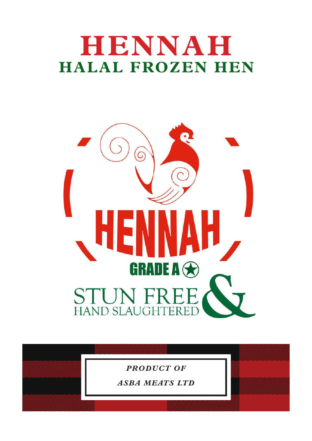## **HALAL FROZEN HEN HENNAH**



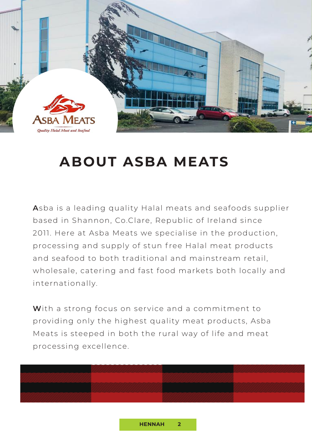

## **ABOUT ASBA MEATS**

**A**sba is a leading quality Halal meats and seafoods supplier based in Shannon, Co.Clare, Republic of Ireland since 2011. Here at Asba Meats we specialise in the production, processing and supply of stun free Halal meat products and seafood to both traditional and mainstream retail, wholesale, catering and fast food markets both locally and internationally.

**W**ith a strong focus on service and a commitment to providing only the highest quality meat products, Asba Meats is steeped in both the rural way of life and meat processing excellence.

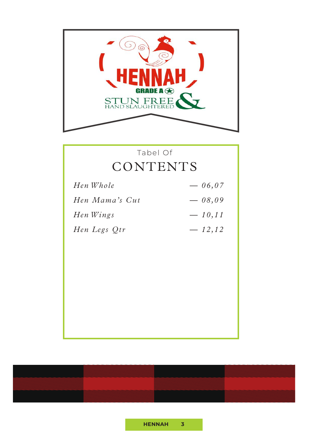

### Tabel Of **CONTENTS**

| Hen Whole      | $-06,07$ |
|----------------|----------|
| Hen Mama's Cut | $-08,09$ |
| Hen Wings      | $-10,11$ |
| Hen Legs Qtr   | $-12,12$ |

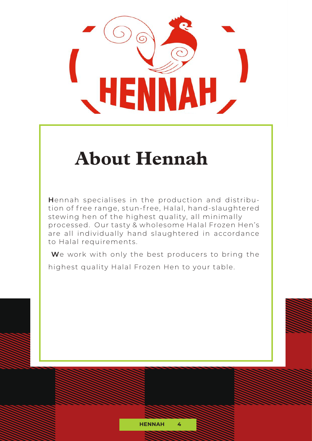

## **About Hennah**

**H**ennah specialises in the production and distribution of free range, stun-free, Halal, hand-slaughtered stewing hen of the highest quality, all minimally processed. Our tasty & wholesome Halal Frozen Hen's are all individually hand slaughtered in accordance to Halal requirements.

**W**e work with only the best producers to bring the highest quality Halal Frozen Hen to your table.

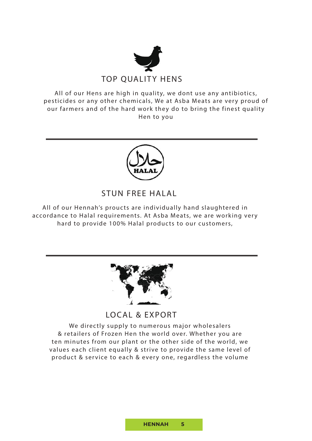

All of our Hens are high in quality, we dont use any antibiotics, pesticides or any other chemicals, We at Asba Meats are very proud of our farmers and of the hard work they do to bring the finest quality Hen to you



STUN FREE HALAL

All of our Hennah's proucts are individually hand slaughtered in accordance to Halal requirements. At Asba Meats, we are working very hard to provide 100% Halal products to our customers,



LOCAL & EXPORT

We directly supply to numerous major wholesalers & retailers of Frozen Hen the world over. Whether you are ten minutes from our plant or the other side of the world, we values each client equally & strive to provide the same level of product & service to each & every one, regardless the volume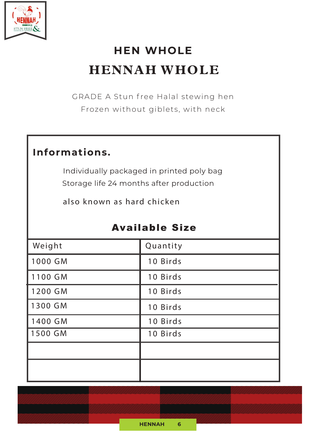

## **HENNAH WHOLE HEN WHOLE**

GRADE A Stun free Halal stewing hen Frozen without giblets, with neck

### **Informations.**

Individually packaged in printed poly bag Storage life 24 months after production

also known as hard chicken

#### Available Size

| Weight  | Quantity |
|---------|----------|
| 1000 GM | 10 Birds |
| 1100 GM | 10 Birds |
| 1200 GM | 10 Birds |
| 1300 GM | 10 Birds |
| 1400 GM | 10 Birds |
| 1500 GM | 10 Birds |
|         |          |
|         |          |

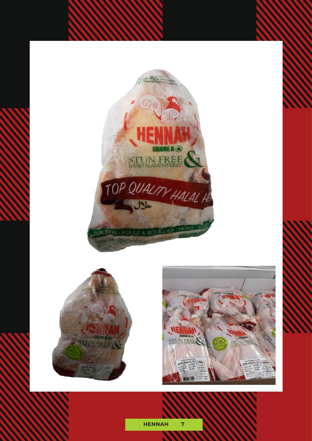





**HENNAH 7**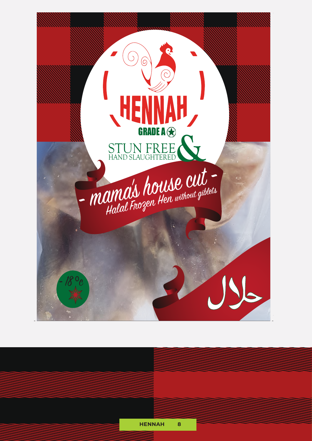

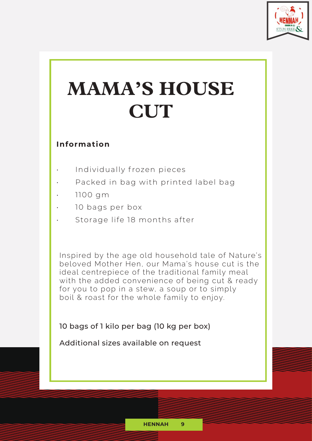

## **MAMA'S HOUSE CUT**

#### **Information**

- Individually frozen pieces
- Packed in bag with printed label bag
- 1100 gm
- 10 bags per box
- Storage life 18 months after

Inspired by the age old household tale of Nature's beloved Mother Hen, our Mama's house cut is the ideal centrepiece of the traditional family meal with the added convenience of being cut & ready for you to pop in a stew, a soup or to simply boil & roast for the whole family to enjoy.

10 bags of 1 kilo per bag (10 kg per box)

Additional sizes available on request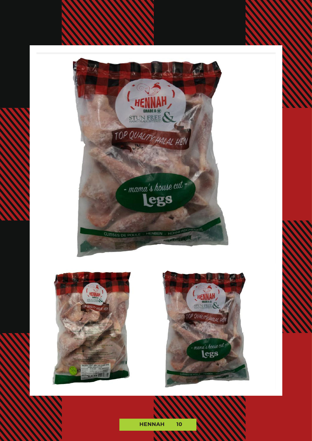





**HENNAH 10**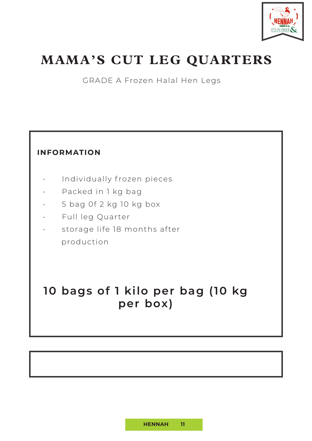

## **MAMA'S CUT LEG QUARTERS**

GRADE A Frozen Halal Hen Legs

#### **INFORMATION**

- Individually frozen pieces
- Packed in 1 kg bag
- 5 bag 0f 2 kg 10 kg box
- Full leg Quarter
- storage life 18 months after production

### **10 bags of 1 kilo per bag (10 kg per box)**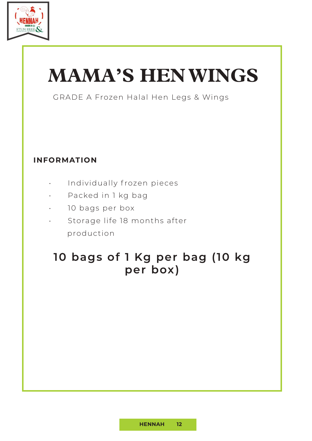

# **MAMA'S HEN WINGS**

GRADE A Frozen Halal Hen Legs & Wings

#### **INFORMATION**

- Individually frozen pieces
- Packed in 1 kg bag
- 10 bags per box
- Storage life 18 months after production

### **10 bags of 1 Kg per bag (10 kg per box)**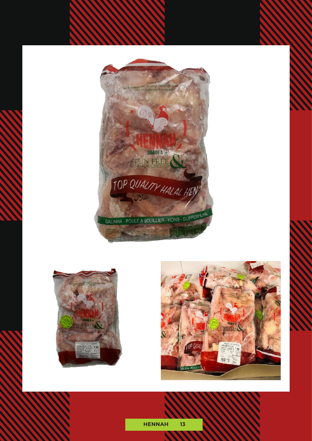





**HENNAH 13**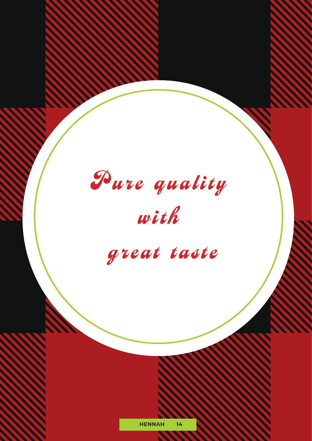Pure quality

# with

## great taste